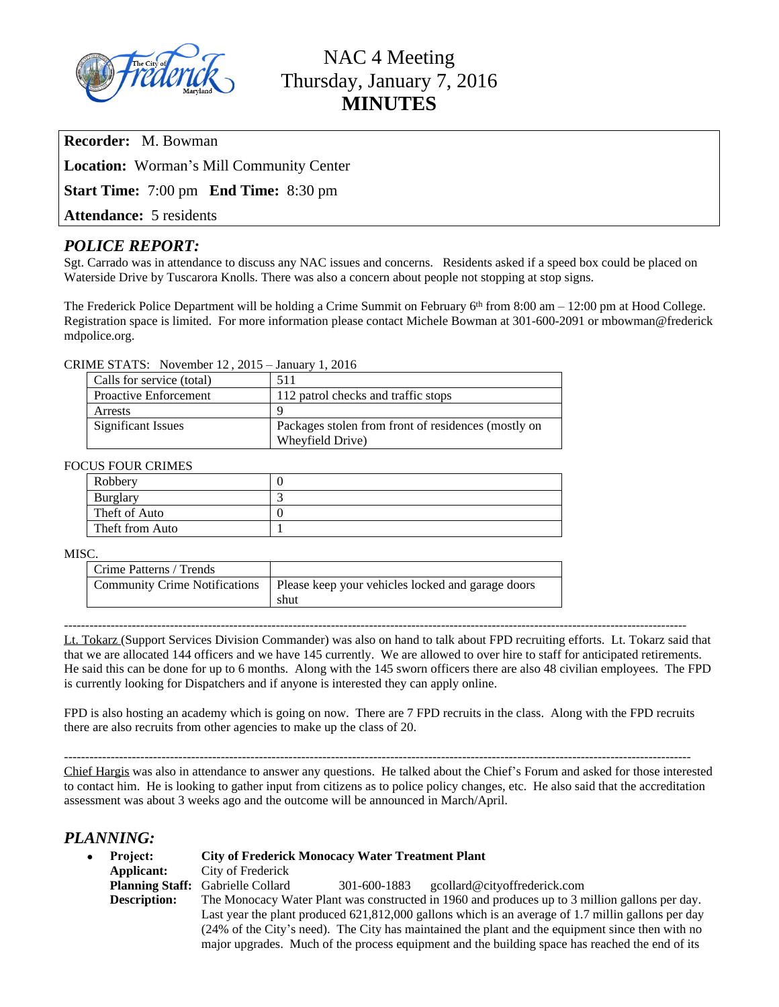

# NAC 4 Meeting Thursday, January 7, 2016 **MINUTES**

**Recorder:** M. Bowman

**Location:** Worman's Mill Community Center

**Start Time:** 7:00 pm **End Time:** 8:30 pm

**Attendance:** 5 residents

# *POLICE REPORT:*

Sgt. Carrado was in attendance to discuss any NAC issues and concerns. Residents asked if a speed box could be placed on Waterside Drive by Tuscarora Knolls. There was also a concern about people not stopping at stop signs.

The Frederick Police Department will be holding a Crime Summit on February 6<sup>th</sup> from 8:00 am – 12:00 pm at Hood College. Registration space is limited. For more information please contact Michele Bowman at 301-600-2091 or mbowman@frederick mdpolice.org.

### CRIME STATS: November 12 , 2015 – January 1, 2016

| Calls for service (total)    | 511                                                 |  |
|------------------------------|-----------------------------------------------------|--|
| <b>Proactive Enforcement</b> | 112 patrol checks and traffic stops                 |  |
| Arrests                      | Q                                                   |  |
| <b>Significant Issues</b>    | Packages stolen from front of residences (mostly on |  |
|                              | Wheyfield Drive)                                    |  |

### FOCUS FOUR CRIMES

| Robbery         |  |
|-----------------|--|
| <b>Burglary</b> |  |
| Theft of Auto   |  |
| Theft from Auto |  |

#### MISC.

| Please keep your vehicles locked and garage doors<br>shut |
|-----------------------------------------------------------|
|                                                           |

---------------------------------------------------------------------------------------------------------------------------------------------------

Lt. Tokarz (Support Services Division Commander) was also on hand to talk about FPD recruiting efforts. Lt. Tokarz said that that we are allocated 144 officers and we have 145 currently. We are allowed to over hire to staff for anticipated retirements. He said this can be done for up to 6 months. Along with the 145 sworn officers there are also 48 civilian employees. The FPD is currently looking for Dispatchers and if anyone is interested they can apply online.

FPD is also hosting an academy which is going on now. There are 7 FPD recruits in the class. Along with the FPD recruits there are also recruits from other agencies to make up the class of 20.

----------------------------------------------------------------------------------------------------------------------------------------------------

Chief Hargis was also in attendance to answer any questions. He talked about the Chief's Forum and asked for those interested to contact him. He is looking to gather input from citizens as to police policy changes, etc. He also said that the accreditation assessment was about 3 weeks ago and the outcome will be announced in March/April.

## *PLANNING:*

| • Project:          | <b>City of Frederick Monocacy Water Treatment Plant</b>                                            |  |  |  |  |
|---------------------|----------------------------------------------------------------------------------------------------|--|--|--|--|
| Applicant:          | City of Frederick                                                                                  |  |  |  |  |
|                     | <b>Planning Staff:</b> Gabrielle Collard<br>gcollard@cityoffrederick.com<br>301-600-1883           |  |  |  |  |
| <b>Description:</b> | The Monocacy Water Plant was constructed in 1960 and produces up to 3 million gallons per day.     |  |  |  |  |
|                     | Last year the plant produced 621,812,000 gallons which is an average of 1.7 millin gallons per day |  |  |  |  |
|                     | (24% of the City's need). The City has maintained the plant and the equipment since then with no   |  |  |  |  |
|                     | major upgrades. Much of the process equipment and the building space has reached the end of its    |  |  |  |  |